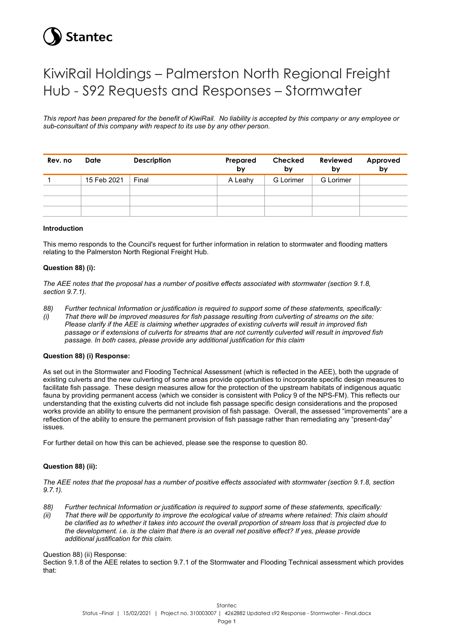# **Stantec**

# KiwiRail Holdings – Palmerston North Regional Freight Hub - S92 Requests and Responses – Stormwater

*This report has been prepared for the benefit of KiwiRail. No liability is accepted by this company or any employee or sub-consultant of this company with respect to its use by any other person.*

| Rev. no | Date        | <b>Description</b> | Prepared<br>by | Checked<br>by    | <b>Reviewed</b><br>by | Approved<br>by |
|---------|-------------|--------------------|----------------|------------------|-----------------------|----------------|
|         | 15 Feb 2021 | Final              | A Leahy        | <b>G</b> Lorimer | <b>G</b> Lorimer      |                |
|         |             |                    |                |                  |                       |                |
|         |             |                    |                |                  |                       |                |
|         |             |                    |                |                  |                       |                |

#### **Introduction**

This memo responds to the Council's request for further information in relation to stormwater and flooding matters relating to the Palmerston North Regional Freight Hub.

#### **Question 88) (i):**

*The AEE notes that the proposal has a number of positive effects associated with stormwater (section 9.1.8, section 9.7.1).*

- *88) Further technical Information or justification is required to support some of these statements, specifically:*
- *(i) That there will be improved measures for fish passage resulting from culverting of streams on the site: Please clarify if the AEE is claiming whether upgrades of existing culverts will result in improved fish passage or if extensions of culverts for streams that are not currently culverted will result in improved fish passage. In both cases, please provide any additional justification for this claim*

#### **Question 88) (i) Response:**

As set out in the Stormwater and Flooding Technical Assessment (which is reflected in the AEE), both the upgrade of existing culverts and the new culverting of some areas provide opportunities to incorporate specific design measures to facilitate fish passage. These design measures allow for the protection of the upstream habitats of indigenous aquatic fauna by providing permanent access (which we consider is consistent with Policy 9 of the NPS-FM). This reflects our understanding that the existing culverts did not include fish passage specific design considerations and the proposed works provide an ability to ensure the permanent provision of fish passage. Overall, the assessed "improvements" are a reflection of the ability to ensure the permanent provision of fish passage rather than remediating any "present-day" issues.

For further detail on how this can be achieved, please see the response to question 80.

#### **Question 88) (ii):**

*The AEE notes that the proposal has a number of positive effects associated with stormwater (section 9.1.8, section 9.7.1).*

- *88) Further technical Information or justification is required to support some of these statements, specifically:*
- *(ii) That there will be opportunity to improve the ecological value of streams where retained: This claim should*  be clarified as to whether it takes into account the overall proportion of stream loss that is projected due to *the development. i.e. is the claim that there is an overall net positive effect? If yes, please provide additional justification for this claim.*

Question 88) (ii) Response:

Section 9.1.8 of the AEE relates to section 9.7.1 of the Stormwater and Flooding Technical assessment which provides that: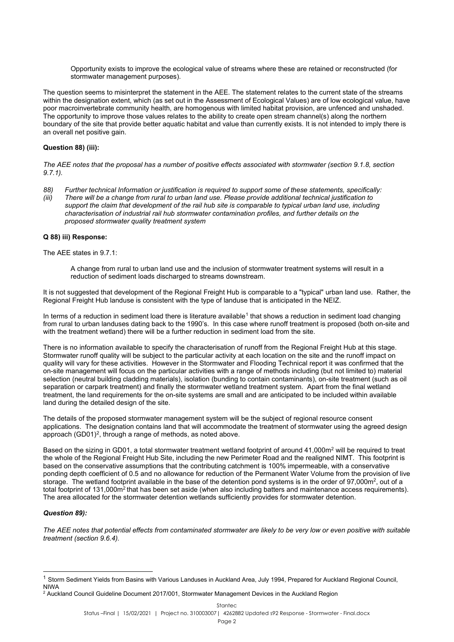Opportunity exists to improve the ecological value of streams where these are retained or reconstructed (for stormwater management purposes).

The question seems to misinterpret the statement in the AEE. The statement relates to the current state of the streams within the designation extent, which (as set out in the Assessment of Ecological Values) are of low ecological value, have poor macroinvertebrate community health, are homogenous with limited habitat provision, are unfenced and unshaded. The opportunity to improve those values relates to the ability to create open stream channel(s) along the northern boundary of the site that provide better aquatic habitat and value than currently exists. It is not intended to imply there is an overall net positive gain.

## **Question 88) (iii):**

*The AEE notes that the proposal has a number of positive effects associated with stormwater (section 9.1.8, section 9.7.1).*

- *88) Further technical Information or justification is required to support some of these statements, specifically:*
- *(iii) There will be a change from rural to urban land use. Please provide additional technical justification to support the claim that development of the rail hub site is comparable to typical urban land use, including characterisation of industrial rail hub stormwater contamination profiles, and further details on the proposed stormwater quality treatment system*

#### **Q 88) iii) Response:**

The AEE states in 9.7.1:

A change from rural to urban land use and the inclusion of stormwater treatment systems will result in a reduction of sediment loads discharged to streams downstream.

It is not suggested that development of the Regional Freight Hub is comparable to a "typical" urban land use. Rather, the Regional Freight Hub landuse is consistent with the type of landuse that is anticipated in the NEIZ.

In terms of a reduction in sediment load there is literature available<sup>[1](#page-1-0)</sup> that shows a reduction in sediment load changing from rural to urban landuses dating back to the 1990's. In this case where runoff treatment is proposed (both on-site and with the treatment wetland) there will be a further reduction in sediment load from the site.

There is no information available to specify the characterisation of runoff from the Regional Freight Hub at this stage. Stormwater runoff quality will be subject to the particular activity at each location on the site and the runoff impact on quality will vary for these activities. However in the Stormwater and Flooding Technical report it was confirmed that the on-site management will focus on the particular activities with a range of methods including (but not limited to) material selection (neutral building cladding materials), isolation (bunding to contain contaminants), on-site treatment (such as oil separation or carpark treatment) and finally the stormwater wetland treatment system. Apart from the final wetland treatment, the land requirements for the on-site systems are small and are anticipated to be included within available land during the detailed design of the site.

The details of the proposed stormwater management system will be the subject of regional resource consent applications. The designation contains land that will accommodate the treatment of stormwater using the agreed design approach (GD01)<sup>[2](#page-1-1)</sup>, through a range of methods, as noted above.

Based on the sizing in GD01, a total stormwater treatment wetland footprint of around 41,000m<sup>2</sup> will be required to treat the whole of the Regional Freight Hub Site, including the new Perimeter Road and the realigned NIMT. This footprint is based on the conservative assumptions that the contributing catchment is 100% impermeable, with a conservative ponding depth coefficient of 0.5 and no allowance for reduction of the Permanent Water Volume from the provision of live storage. The wetland footprint available in the base of the detention pond systems is in the order of 97,000m<sup>2</sup>, out of a total footprint of 131,000m<sup>2</sup> that has been set aside (when also including batters and maintenance access requirements). The area allocated for the stormwater detention wetlands sufficiently provides for stormwater detention.

#### *Question 89):*

*The AEE notes that potential effects from contaminated stormwater are likely to be very low or even positive with suitable treatment (section 9.6.4).*

<span id="page-1-0"></span><sup>&</sup>lt;sup>1</sup> Storm Sediment Yields from Basins with Various Landuses in Auckland Area, July 1994, Prepared for Auckland Regional Council, NIWA

<span id="page-1-1"></span><sup>&</sup>lt;sup>2</sup> Auckland Council Guideline Document 2017/001, Stormwater Management Devices in the Auckland Region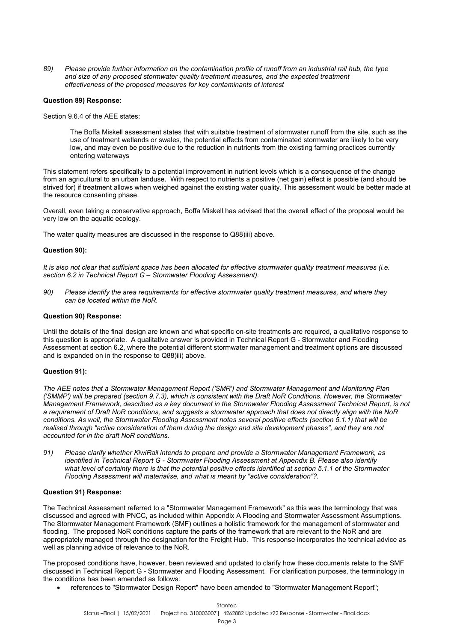*89) Please provide further information on the contamination profile of runoff from an industrial rail hub, the type and size of any proposed stormwater quality treatment measures, and the expected treatment effectiveness of the proposed measures for key contaminants of interest*

#### **Question 89) Response:**

Section 9.6.4 of the AEE states:

The Boffa Miskell assessment states that with suitable treatment of stormwater runoff from the site, such as the use of treatment wetlands or swales, the potential effects from contaminated stormwater are likely to be very low, and may even be positive due to the reduction in nutrients from the existing farming practices currently entering waterways

This statement refers specifically to a potential improvement in nutrient levels which is a consequence of the change from an agricultural to an urban landuse. With respect to nutrients a positive (net gain) effect is possible (and should be strived for) if treatment allows when weighed against the existing water quality. This assessment would be better made at the resource consenting phase.

Overall, even taking a conservative approach, Boffa Miskell has advised that the overall effect of the proposal would be very low on the aquatic ecology.

The water quality measures are discussed in the response to Q88)iii) above.

#### **Question 90):**

*It is also not clear that sufficient space has been allocated for effective stormwater quality treatment measures (i.e. section 6.2 in Technical Report G – Stormwater Flooding Assessment).*

*90) Please identify the area requirements for effective stormwater quality treatment measures, and where they can be located within the NoR.*

#### **Question 90) Response:**

Until the details of the final design are known and what specific on-site treatments are required, a qualitative response to this question is appropriate. A qualitative answer is provided in Technical Report G - Stormwater and Flooding Assessment at section 6.2, where the potential different stormwater management and treatment options are discussed and is expanded on in the response to Q88)iii) above.

#### **Question 91):**

*The AEE notes that a Stormwater Management Report ('SMR') and Stormwater Management and Monitoring Plan ('SMMP') will be prepared (section 9.7.3), which is consistent with the Draft NoR Conditions. However, the Stormwater Management Framework, described as a key document in the Stormwater Flooding Assessment Technical Report, is not a requirement of Draft NoR conditions, and suggests a stormwater approach that does not directly align with the NoR conditions. As well, the Stormwater Flooding Assessment notes several positive effects (section 5.1.1) that will be*  realised through "active consideration of them during the design and site development phases", and they are not *accounted for in the draft NoR conditions.*

*91) Please clarify whether KiwiRail intends to prepare and provide a Stormwater Management Framework, as identified in Technical Report G - Stormwater Flooding Assessment at Appendix B. Please also identify what level of certainty there is that the potential positive effects identified at section 5.1.1 of the Stormwater Flooding Assessment will materialise, and what is meant by "active consideration"?.*

#### **Question 91) Response:**

The Technical Assessment referred to a "Stormwater Management Framework" as this was the terminology that was discussed and agreed with PNCC, as included within Appendix A Flooding and Stormwater Assessment Assumptions. The Stormwater Management Framework (SMF) outlines a holistic framework for the management of stormwater and flooding. The proposed NoR conditions capture the parts of the framework that are relevant to the NoR and are appropriately managed through the designation for the Freight Hub. This response incorporates the technical advice as well as planning advice of relevance to the NoR.

The proposed conditions have, however, been reviewed and updated to clarify how these documents relate to the SMF discussed in Technical Report G - Stormwater and Flooding Assessment. For clarification purposes, the terminology in the conditions has been amended as follows:

• references to "Stormwater Design Report" have been amended to "Stormwater Management Report";